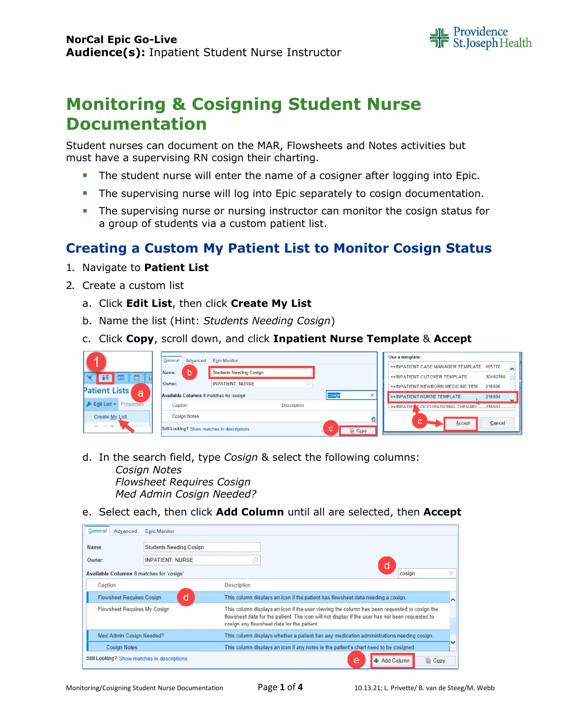

# **Monitoring & Cosigning Student Nurse Documentation**

Student nurses can document on the MAR, Flowsheets and Notes activities but must have a supervising RN cosign their charting.

- **The student nurse will enter the name of a cosigner after logging into Epic.**
- **The supervising nurse will log into Epic separately to cosign documentation.**
- The supervising nurse or nursing instructor can monitor the cosign status for a group of students via a custom patient list.

# **Creating a Custom My Patient List to Monitor Cosign Status**

- 1. Navigate to **Patient List**
- 2. Create a custom list
	- a. Click **Edit List**, then click **Create My List**
	- b. Name the list (Hint: *Students Needing Cosign*)
	- c. Click **Copy**, scroll down, and click **Inpatient Nurse Template** & **Accept**

| z                         | General<br>Advanced                         | <b>Epic Monitor</b>            |              | Use a template: |                                                                                                   |   |  |  |  |  |
|---------------------------|---------------------------------------------|--------------------------------|--------------|-----------------|---------------------------------------------------------------------------------------------------|---|--|--|--|--|
|                           | b<br>Name:                                  | <b>Students Needing Cosign</b> |              |                 | ++INPATIENT CASE MANAGER TEMPLATE<br>185770                                                       |   |  |  |  |  |
| 茴<br><b>THE REAL</b>      | Owner:                                      | <b>INPATIENT, NURSE</b>        |              |                 | ++INPATIENT CUTOVER TEMPLATE<br>30450760                                                          |   |  |  |  |  |
| <b>Patient Lists</b><br>a | Available Columns 8 matches for 'cosign'    |                                | cosign       | $\times$        | ++INPATIENT NEWBORN MEDICINE TEM.<br>216596                                                       |   |  |  |  |  |
| Fedit List + Properties   | Caption                                     | Description                    |              |                 | <b>++INPATIENT NURSE TEMPLATE</b><br>216594<br><b>++INPATIFINT OCCUPATIONAL THERAPI</b><br>216597 | ັ |  |  |  |  |
| Create My List            | <b>Cosign Notes</b>                         |                                |              |                 |                                                                                                   |   |  |  |  |  |
| <b>CALL AND</b>           | Still Looking? Show matches in descriptions |                                | la Copy<br>u | <b>C</b>        | $\sim$<br>Cancel<br>Accept<br>u                                                                   |   |  |  |  |  |

- d. In the search field, type *Cosign* & select the following columns: *Cosign Notes Flowsheet Requires Cosign Med Admin Cosign Needed?*
- e. Select each, then click **Add Column** until all are selected, then **Accept**

| Name:                                    | <b>Students Needing Cosign</b> |                                                                                                                                                                                                                                               |  |  |  |  |  |  |
|------------------------------------------|--------------------------------|-----------------------------------------------------------------------------------------------------------------------------------------------------------------------------------------------------------------------------------------------|--|--|--|--|--|--|
| Owner:                                   | <b>INPATIENT, NURSE</b>        | d                                                                                                                                                                                                                                             |  |  |  |  |  |  |
| Available Columns 8 matches for 'cosign' |                                | cosian                                                                                                                                                                                                                                        |  |  |  |  |  |  |
| Caption                                  |                                | Description                                                                                                                                                                                                                                   |  |  |  |  |  |  |
| <b>Flowsheet Requires Cosign</b>         | d                              | This column displays an icon if the patient has flowsheet data needing a cosign.<br>⌒                                                                                                                                                         |  |  |  |  |  |  |
| Flowsheet Requires My Cosign             |                                | This column displays an icon if the user viewing the column has been requested to cosign the<br>flowsheet data for the patient. The icon will not display if the user has not been requested to<br>cosign any flowsheet data for the patient. |  |  |  |  |  |  |
| Med Admin Cosign Needed?                 |                                | This column displays whether a patient has any medication administrations needing cosign.                                                                                                                                                     |  |  |  |  |  |  |
| <b>Cosign Notes</b>                      |                                | This column displays an icon if any notes in the patient's chart need to be cosigned                                                                                                                                                          |  |  |  |  |  |  |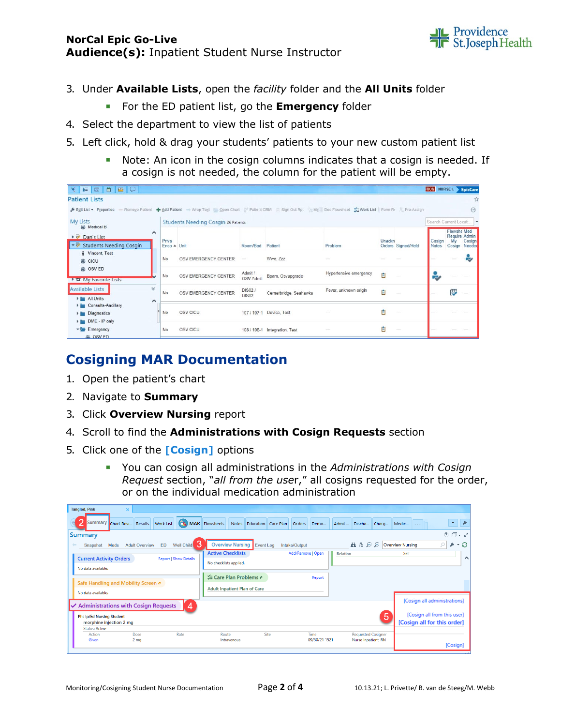### **NorCal Epic Go-Live Audience(s):** Inpatient Student Nurse Instructor



- 3. Under **Available Lists**, open the *facility* folder and the **All Units** folder
	- **For the ED patient list, go the <b>Emergency** folder
- 4. Select the department to view the list of patients
- 5. Left click, hold & drag your students' patients to your new custom patient list
	- Note: An icon in the cosign columns indicates that a cosign is needed. If a cosign is not needed, the column for the patient will be empty.

| ▼   #   国   曲<br>BQ                                                                                                                                                                        |             |                                            |                               |                               |                        |        |                    | TION NURSEL > EpicCare |                          |                         |  |
|--------------------------------------------------------------------------------------------------------------------------------------------------------------------------------------------|-------------|--------------------------------------------|-------------------------------|-------------------------------|------------------------|--------|--------------------|------------------------|--------------------------|-------------------------|--|
| <b>Patient Lists</b>                                                                                                                                                                       |             |                                            |                               |                               |                        |        |                    |                        |                          |                         |  |
| Fedit List . Properties - Remove Patient + Add Patient - Wrap Text > Open Chart & Patient CRM - Sign Out Rpt % M/ Doc Flowsheet % Vork List   Form Rr & Pre-Assign<br>$\widehat{(\cdots)}$ |             |                                            |                               |                               |                        |        |                    |                        |                          |                         |  |
| <b>My Lists</b><br>(@) Medical B                                                                                                                                                           |             | <b>Students Needing Cosgin 26 Patients</b> |                               |                               |                        |        |                    |                        | Search Current Locat     |                         |  |
| $\hat{}$<br>Dan's List                                                                                                                                                                     | Priva       |                                            |                               |                               |                        | Unackn |                    | Cosian                 | <b>Flowshe Med</b><br>Mv | Require Admin<br>Cosign |  |
| トラ<br><b>Students Needing Cosgin</b>                                                                                                                                                       | Enco A Unit |                                            | Room/Bed Patient              |                               | Problem                |        | Orders Signed/Held | <b>Notes</b>           |                          | Cosign Needed           |  |
| Vincent, Test<br>※ CICU                                                                                                                                                                    | No          | OSV EMERGENCY CENTER                       | $\overline{\phantom{a}}$      | Wwe. Zzz                      |                        |        |                    |                        |                          | ☞                       |  |
| (b) OSV ED<br>▶ 12 My Favorite Lists                                                                                                                                                       | No          | OSV EMERGENCY CENTER                       | Admit /<br><b>OSV Admit</b>   | Bpam, Osvupgrade              | Hypertensive emergency | 自      |                    | P.                     |                          |                         |  |
| <b>Available Lists</b><br>V<br>All Units<br>∧                                                                                                                                              | No          | OSV EMERGENCY CENTER                       | <b>DIS02/</b><br><b>DIS02</b> | Cernerbridge, Seahawks        | Fever, unknown origin  | Ê      |                    |                        | ₽                        |                         |  |
| Consults-Ancillary<br>Diagnostics<br>DME - IP only                                                                                                                                         | No          | OSV CICU                                   |                               | 107 / 107-1 Device, Test      |                        | 自      |                    |                        |                          |                         |  |
| $\blacktriangleright$ Emergency<br>iii OSV ED                                                                                                                                              | No          | OSV CICU                                   |                               | 108 / 108-1 Integration, Test |                        | Ė      |                    |                        |                          |                         |  |

# **Cosigning MAR Documentation**

- 1. Open the patient's chart
- 2. Navigate to **Summary**
- 3. Click **Overview Nursing** report
- 4. Scroll to find the **Administrations with Cosign Requests** section
- 5. Click one of the **[Cosign]** options
	- You can cosign all administrations in the *Administrations with Cosign Request* section, "*all from the use*r," all cosigns requested for the order, or on the individual medication administration

| <b>Tangled, Pink</b><br>×                                                                             |                                                                                                  |                       |                                                  |                                                            |  |  |  |  |
|-------------------------------------------------------------------------------------------------------|--------------------------------------------------------------------------------------------------|-----------------------|--------------------------------------------------|------------------------------------------------------------|--|--|--|--|
| Summary Chart Revi Results<br><b>Work List</b>                                                        | <b>CR MAR Flowsheets</b> Notes Education Care Plan                                               | Orders Demo           | Admit<br>Discha<br>Charg                         | $\overline{\mathbf{v}}$<br>Medic                           |  |  |  |  |
| <b>Summary</b>                                                                                        |                                                                                                  |                       |                                                  | $\circledcirc$ $\Box$ $\sim$ $\sqrt{ }$                    |  |  |  |  |
| З<br>Well Child<br>ED<br><b>Adult Overview</b><br>Meds<br>Snapshot                                    | <b>Overview Nursing</b><br>Event Log                                                             | Intake/Output         | 出唱日<br>$\bigoplus$                               | O<br>- 8<br><b>Overview Nursing</b><br>F                   |  |  |  |  |
| <b>Current Activity Orders</b><br><b>Report   Show Details</b><br>No data available.                  | <b>Active Checklists</b><br>No checklists applied.                                               | Add/Remove   Open     | <b>Relation</b>                                  | Self<br>⌒                                                  |  |  |  |  |
| Safe Handling and Mobility Screen &<br>No data available.                                             | <b><math>\frac{1}{22}</math> Care Plan Problems &amp;</b><br><b>Adult Inpatient Plan of Care</b> | Report                |                                                  |                                                            |  |  |  |  |
| [Cosign all administrations]<br>$\boldsymbol{\Lambda}$<br><b>Administrations with Cosign Requests</b> |                                                                                                  |                       |                                                  |                                                            |  |  |  |  |
| <b>Phs Ip/Ed Nursing Student</b><br>morphine injection 2 mg<br><b>Status: Active</b>                  |                                                                                                  |                       | 5                                                | [Cosign all from this user]<br>[Cosign all for this order] |  |  |  |  |
| Rate<br>Action<br>Dose<br>Given<br>2 <sub>mg</sub>                                                    | Site<br>Route<br>Intravenous                                                                     | Time<br>09/30/21 1521 | <b>Requested Cosigner</b><br>Nurse Inpatient, RN | [Cosign]                                                   |  |  |  |  |
|                                                                                                       |                                                                                                  |                       |                                                  |                                                            |  |  |  |  |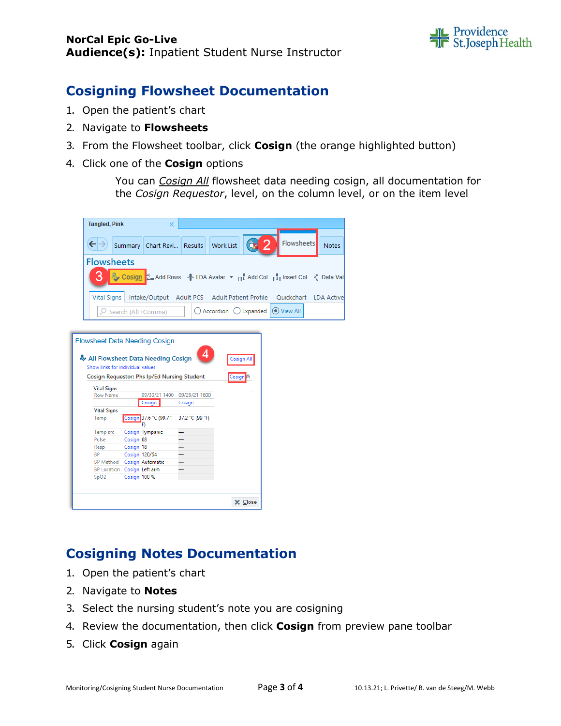

### **Cosigning Flowsheet Documentation**

- 1. Open the patient's chart
- 2. Navigate to **Flowsheets**
- 3. From the Flowsheet toolbar, click **Cosign** (the orange highlighted button)
- 4. Click one of the **Cosign** options

You can *Cosign All* flowsheet data needing cosign, all documentation for the *Cosign Requestor*, level, on the column level, or on the item level

| <b>Tangled, Pink</b>             |               | ×                                                                     |        |                 |                        |                   |                      |       |
|----------------------------------|---------------|-----------------------------------------------------------------------|--------|-----------------|------------------------|-------------------|----------------------|-------|
|                                  |               |                                                                       |        |                 |                        |                   |                      |       |
| $\leftarrow$                     |               | Summary   Chart Revi                                                  |        | Results         | <b>Work List</b>       |                   | Flowsheets           | Notes |
| <b>Flowsheets</b>                |               |                                                                       |        |                 |                        |                   |                      |       |
|                                  |               | P Cosign 2 Add Rows + LDA Avatar ▼ m Add Col n n Insert Col < Data Vi |        |                 |                        |                   |                      |       |
| <b>Vital Signs</b>               |               | Intake/Output Adult PCS Adult Patient Profile                         |        |                 |                        |                   | Quickchart LDA Activ |       |
|                                  |               | O Search (Alt+Comma)                                                  |        |                 | ○ Accordion ○ Expanded |                   | (a) View All         |       |
|                                  |               |                                                                       |        |                 |                        |                   |                      |       |
|                                  |               | <b>Flowsheet Data Needing Cosign</b>                                  |        |                 |                        |                   |                      |       |
|                                  |               |                                                                       |        |                 |                        |                   |                      |       |
|                                  |               | All Flowsheet Data Needing Cosign                                     |        |                 |                        | <b>Cosign All</b> |                      |       |
| Show links for individual values |               |                                                                       |        |                 |                        |                   |                      |       |
|                                  |               | <b>Cosign Requestor: Phs Ip/Ed Nursing Student</b>                    |        |                 |                        |                   |                      |       |
|                                  |               |                                                                       |        |                 |                        | Cosign            |                      |       |
| <b>Vital Signs</b>               |               |                                                                       |        |                 |                        |                   |                      |       |
| <b>Row Name</b>                  |               | 09/30/21 1400                                                         |        | 09/29/21 1600   |                        |                   |                      |       |
|                                  |               | Cosign                                                                | Cosign |                 |                        |                   |                      |       |
| <b>Vital Signs</b>               |               |                                                                       |        |                 |                        |                   |                      |       |
| Temp                             |               | Cosign 37.6 °C (99.7 °<br>F)                                          |        | 37.2 °C (99 °F) |                        |                   |                      |       |
| Temp src                         |               | Cosign Tympanic                                                       |        |                 |                        |                   |                      |       |
| Pulse                            | Cosign 68     |                                                                       |        |                 |                        |                   |                      |       |
| Resp                             | Cosign 18     |                                                                       |        |                 |                        |                   |                      |       |
| <b>BP</b>                        | Cosign 120/64 |                                                                       |        |                 |                        |                   |                      |       |
| BP Method Cosign Automatic       |               |                                                                       |        |                 |                        |                   |                      |       |
| BP Location Cosign Left arm      |               |                                                                       |        |                 |                        |                   |                      |       |
| SpO2                             | Cosign 100 %  |                                                                       |        |                 |                        |                   |                      |       |
|                                  |               |                                                                       |        |                 |                        |                   |                      |       |
|                                  |               |                                                                       |        |                 |                        | X Close           |                      |       |
|                                  |               |                                                                       |        |                 |                        |                   |                      |       |

# **Cosigning Notes Documentation**

- 1. Open the patient's chart
- 2. Navigate to **Notes**
- 3. Select the nursing student's note you are cosigning
- 4. Review the documentation, then click **Cosign** from preview pane toolbar
- 5. Click **Cosign** again